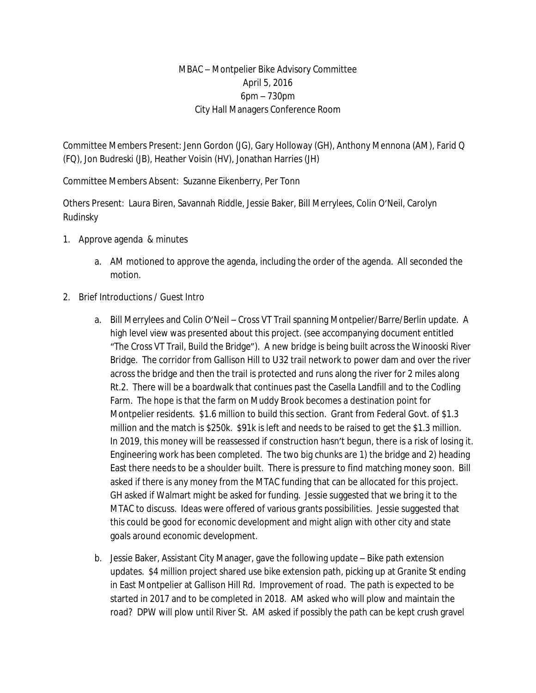## MBAC – Montpelier Bike Advisory Committee April 5, 2016 6pm – 730pm City Hall Managers Conference Room

Committee Members Present: Jenn Gordon (JG), Gary Holloway (GH), Anthony Mennona (AM), Farid Q (FQ), Jon Budreski (JB), Heather Voisin (HV), Jonathan Harries (JH)

Committee Members Absent: Suzanne Eikenberry, Per Tonn

Others Present: Laura Biren, Savannah Riddle, Jessie Baker, Bill Merrylees, Colin O'Neil, Carolyn Rudinsky

- 1. Approve agenda & minutes
	- a. AM motioned to approve the agenda, including the order of the agenda. All seconded the motion.
- 2. Brief Introductions / Guest Intro
	- a. Bill Merrylees and Colin O'Neil Cross VT Trail spanning Montpelier/Barre/Berlin update. A high level view was presented about this project. (see accompanying document entitled "The Cross VT Trail, Build the Bridge"). A new bridge is being built across the Winooski River Bridge. The corridor from Gallison Hill to U32 trail network to power dam and over the river across the bridge and then the trail is protected and runs along the river for 2 miles along Rt.2. There will be a boardwalk that continues past the Casella Landfill and to the Codling Farm. The hope is that the farm on Muddy Brook becomes a destination point for Montpelier residents. \$1.6 million to build this section. Grant from Federal Govt. of \$1.3 million and the match is \$250k. \$91k is left and needs to be raised to get the \$1.3 million. In 2019, this money will be reassessed if construction hasn't begun, there is a risk of losing it. Engineering work has been completed. The two big chunks are 1) the bridge and 2) heading East there needs to be a shoulder built. There is pressure to find matching money soon. Bill asked if there is any money from the MTAC funding that can be allocated for this project. GH asked if Walmart might be asked for funding. Jessie suggested that we bring it to the MTAC to discuss. Ideas were offered of various grants possibilities. Jessie suggested that this could be good for economic development and might align with other city and state goals around economic development.
	- b. Jessie Baker, Assistant City Manager, gave the following update Bike path extension updates. \$4 million project shared use bike extension path, picking up at Granite St ending in East Montpelier at Gallison Hill Rd. Improvement of road. The path is expected to be started in 2017 and to be completed in 2018. AM asked who will plow and maintain the road? DPW will plow until River St. AM asked if possibly the path can be kept crush gravel